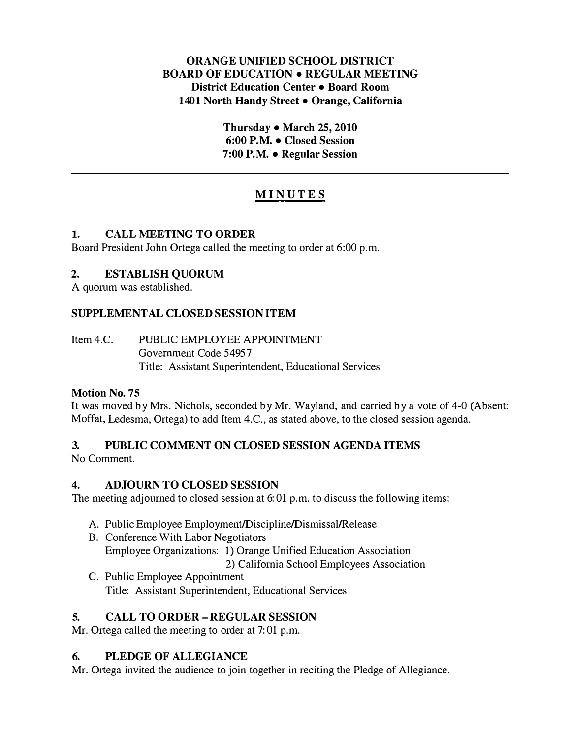#### ORANGE UNIFIED SCHOOL DISTRICT BOARD OF EDUCATION • REGULAR MEETING District Education Center • Board Room 1401 North Handy Street • Orange, California

Thursday • March 25, 2010 6: 00 P.M. • Closed Session 7 :00 P.M. • Regular Session

## **MINUTES**

#### 1. CALL MEETING TO ORDER

Board President John Ortega called the meeting to order at 6:00 p.m.

## 2. ESTABLISH QUORUM

A quorum was established.

## SUPPLEMENTAL CLOSED SESSION ITEM

Item 4.C. PUBLIC EMPLOYEE APPOINTMENT Government Code 54957 Title: Assistant Superintendent, Educational Services

## Motion No. 75

It was moved by Mrs. Nichols, seconded by Mr. Wayland, and carried by a vote of 4-0 (Absent: Moffat, Ledesma, Ortega) to add Item 4.C., as stated above, to the closed session agenda.

## 3. PUBLIC COMMENT ON CLOSED SESSION AGENDA ITEMS

No Comment.

## 4. ADJOURN TO CLOSED SESSION

The meeting adjourned to closed session at 6:01 p.m. to discuss the following items:

- A. Public Employee Employment/Discipline/Dismissal/Release
- B. Conference With Labor Negotiators Employee Organizations: 1) Orange Unified Education Association 2) California School Employees Association
- C. Public Employee Appointment Title: Assistant Superintendent, Educational Services

## 5. CALL TO ORDER-REGULAR SESSION

Mr. Ortega called the meeting to order at 7:01 p.m.

## 6. PLEDGE OF ALLEGIANCE

Mr. Ortega invited the audience to join together in reciting the Pledge of Allegiance.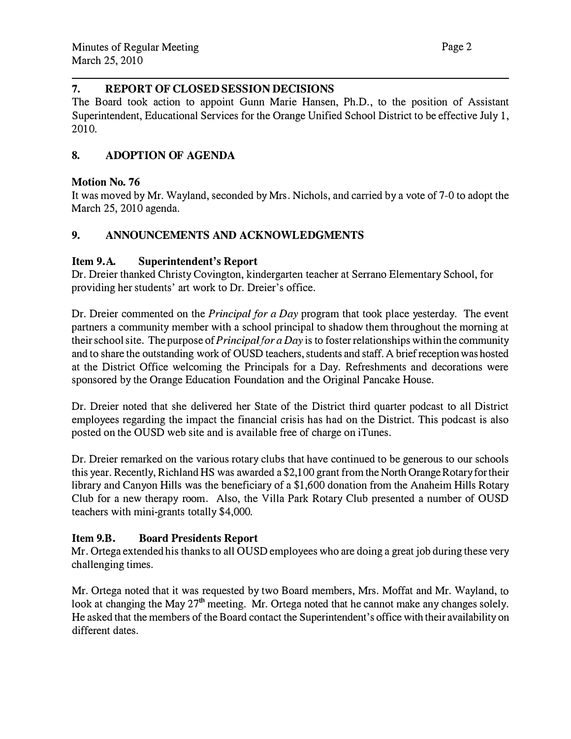#### 7. REPORT OF CLOSED SESSION DECISIONS

The Board took action to appoint Gunn Marie Hansen, Ph.D., to the position of Assistant Superintendent, Educational Services for the Orange Unified School District to be effective July 1, 2010.

## 8. ADOPTION OF AGENDA

#### Motion No. 76

It was moved by Mr. Wayland, seconded by Mrs. Nichols, and carried by a vote of 7-0 to adopt the March 25, 2010 agenda.

#### 9. ANNOUNCEMENTS AND ACKNOWLEDGMENTS

#### Item 9.A. Superintendent's Report

Dr. Dreier thanked Christy Covington, kindergarten teacher at Serrano Elementary School, for providing her students' art work to Dr. Dreier's office.

Dr. Dreier commented on the *Principal for a Day* program that took place yesterday. The event partners a community member with a school principal to shadow them throughout the morning at their school site. The purpose of *Principal for a Day* is to foster relationships within the community and to share the outstanding work of OUSD teachers, students and staff. A brief reception was hosted at the District Office welcoming the Principals for a Day. Refreshments and decorations were sponsored by the Orange Education Foundation and the Original Pancake House.

Dr. Dreier noted that she delivered her State of the District third quarter podcast to all District employees regarding the impact the financial crisis has had on the District. This podcast is also posted on the OUSD web site and is available free of charge on iTunes.

Dr. Dreier remarked on the various rotary clubs that have continued to be generous to our schools this year. Recently, Richland HS was awarded a \$2,100 grant from the North Orange Rotary for their library and Canyon Hills was the beneficiary of a \$1,600 donation from the Anaheim Hills Rotary Club for a new therapy room. Also, the Villa Park Rotary Club presented a number of OUSD teachers with mini-grants totally \$4,000.

#### Item 9.B. Board Presidents Report

Mr. Ortega extended his thanks to all OUSD employees who are doing a great job during these very challenging times.

Mr. Ortega noted that it was requested by two Board members, Mrs. Moffat and Mr. Wayland, to look at changing the May 27<sup>th</sup> meeting. Mr. Ortega noted that he cannot make any changes solely. He asked that the members of the Board contact the Superintendent's office with their availability on different dates.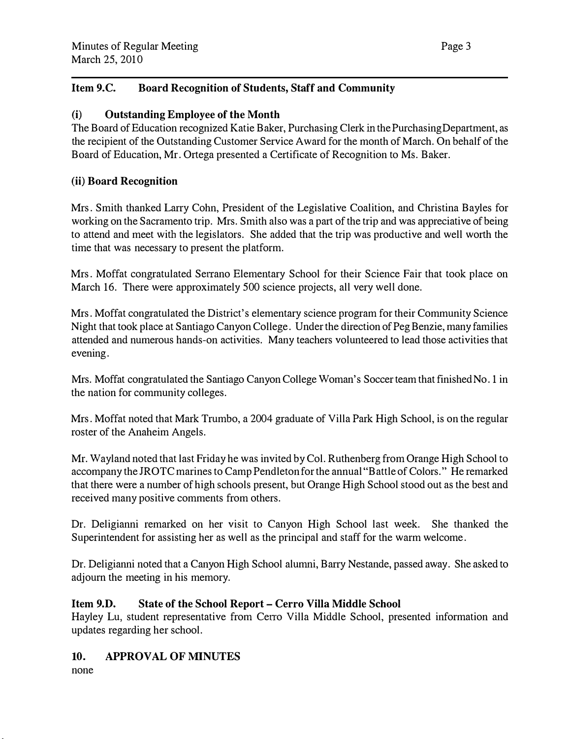## Item 9.C. Board Recognition of Students, Staff and Community

## (i) Outstanding Employee of the Month

The Board of Education recognized Katie Baker, Purchasing Clerk in the Purchasing Department, as the recipient of the Outstanding Customer Service Award for the month of March. On behalf of the Board of Education, Mr. Ortega presented a Certificate of Recognition to Ms. Baker.

#### (ii) Board Recognition

Mrs. Smith thanked Larry Cohn, President of the Legislative Coalition, and Christina Bayles for working on the Sacramento trip. Mrs. Smith also was a part of the trip and was appreciative of being to attend and meet with the legislators. She added that the trip was productive and well worth the time that was necessary to present the platform.

Mrs. Moffat congratulated Serrano Elementary School for their Science Fair that took place on March 16. There were approximately 500 science projects, all very well done.

Mrs. Moffat congratulated the District's elementary science program for their Community Science Night that took place at Santiago Canyon College. Under the direction of Peg Benzie, many families attended and numerous hands-on activities. Many teachers volunteered to lead those activities that evening.

Mrs. Moffat congratulated the Santiago Canyon College Woman's Soccer team that finished No. 1 in the nation for community colleges.

Mrs. Moffat noted that Mark Trumbo, a 2004 graduate of Villa Park High School, is on the regular roster of the Anaheim Angels.

Mr. Wayland noted that last Friday he was invited by Col. Ruthenberg from Orange High School to accompany the JROTC marines to Camp Pendleton for the annual "Battle of Colors." He remarked that there were a number of high schools present, but Orange High School stood out as the best and received many positive comments from others.

Dr. Deligianni remarked on her visit to Canyon High School last week. She thanked the Superintendent for assisting her as well as the principal and staff for the warm welcome.

Dr. Deligianni noted that a Canyon High School alumni, Barry Nestande, passed away. She asked to adjourn the meeting in his memory.

## Item 9.D. State of the School Report-Cerro Villa Middle School

Hayley Lu, student representative from Ceno Villa Middle School, presented information and updates regarding her school.

## 10. APPROVAL OF MINUTES

none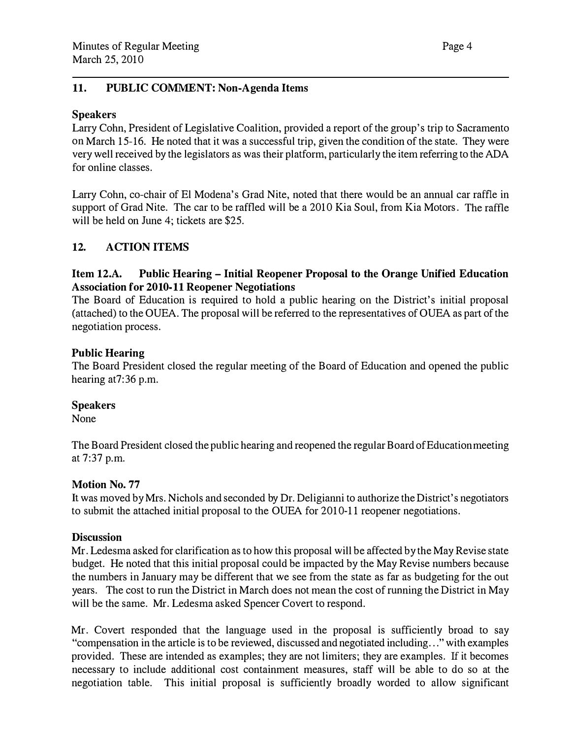#### 11. PUBLIC COMMENT: Non-Agenda Items

## **Speakers**

Larry Cohn, President of Legislative Coalition, provided a report of the group's trip to Sacramento on March 15-16. He noted that it was a successful trip, given the condition of the state. They were very well received by the legislators as was their platform, particularly the item referring to the ADA for online classes.

Larry Cohn, co-chair of El Modena's Grad Nite, noted that there would be an annual car raffle in support of Grad Nite. The car to be raffled will be a 2010 Kia Soul, from Kia Motors. The raffle will be held on June 4; tickets are \$25.

## 12. ACTION ITEMS

#### Item 12.A. Public Hearing – Initial Reopener Proposal to the Orange Unified Education Association for 2010-11 Reopener Negotiations

The Board of Education is required to hold a public hearing on the District's initial proposal (attached) to the OUEA. The proposal will be referred to the representatives of OUEA as pmt of the negotiation process.

## Public Hearing

The Board President closed the regular meeting of the Board of Education and opened the public hearing at7:36 p.m.

## Speakers

None

The Board President closed the public hearing and reopened the regular Board of Education meeting at 7:37 p.m.

## Motion No. 77

It was moved by Mrs. Nichols and seconded by Dr. Deligianni to authorize the District's negotiators to submit the attached initial proposal to the OUEA for 2010-11 reopener negotiations.

## **Discussion**

Mr. Ledesma asked for clarification as to how this proposal will be affected by the May Revise state budget. He noted that this initial proposal could be impacted by the May Revise numbers because the numbers in January may be different that we see from the state as far as budgeting for the out years. The cost to run the District in March does not mean the cost of running the District in May will be the same. Mr. Ledesma asked Spencer Covert to respond.

Mr. Covert responded that the language used in the proposal is sufficiently broad to say "compensation in the article is to be reviewed, discussed and negotiated including ... "with examples provided. These are intended as examples; they are not limiters; they are examples. If it becomes necessary to include additional cost containment measures, staff will be able to do so at the negotiation table. This initial proposal is sufficiently broadly worded to allow significant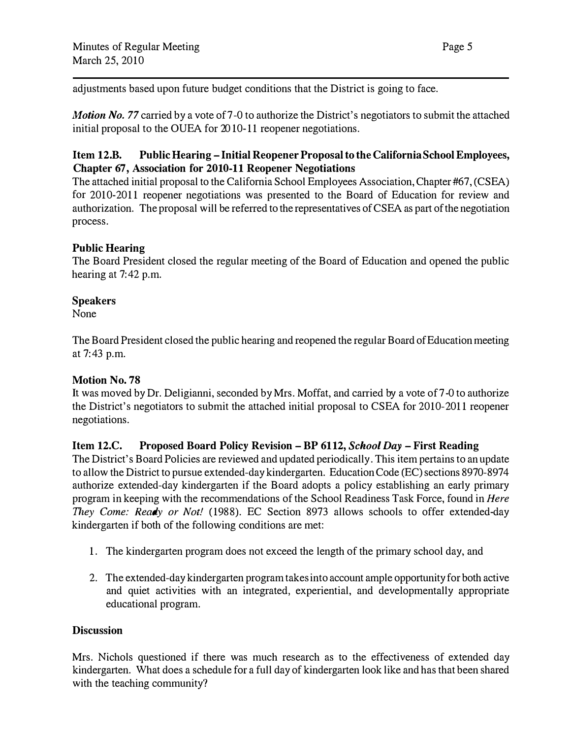adjustments based upon future budget conditions that the District is going to face.

**Motion No.** 77 carried by a vote of 7-0 to authorize the District's negotiators to submit the attached initial proposal to the OUEA for  $2010-11$  reopener negotiations.

#### Item 12.B. Public Hearing-Initial Reopener Proposal to the California School Employees, Chapter 67, Association for 2010-11 Reopener Negotiations

The attached initial proposal to the California School Employees Association, Chapter #67, (CSEA) for 2010-2011 reopener negotiations was presented to the Board of Education for review and authorization. The proposal will be referred to the representatives of CSEA as part of the negotiation process.

#### Public Hearing

The Board President closed the regular meeting of the Board of Education and opened the public hearing at 7:42 p.m.

#### Speakers

None

The Board President closed the public hearing and reopened the regular Board of Education meeting at 7:43 p.m.

#### Motion No. 78

It was moved by Dr. Deligianni, seconded by Mrs. Moffat, and carried by a vote of7-0 to authorize the District's negotiators to submit the attached initial proposal to CSEA for 2010-2011 reopener negotiations.

#### Item 12.C. Proposed Board Policy Revision - BP 6112, School Day - First Reading

The District's Board Policies are reviewed and updated periodically. This item pertains to an update to allow the District to pursue extended-day kindergarten. Education Code (EC) sections 8970-8974 authorize extended-day kindergarten if the Board adopts a policy establishing an early primary program in keeping with the recommendations of the School Readiness Task Force, found in Here They Come: Ready or Not! (1988). EC Section 8973 allows schools to offer extended-day kindergarten if both of the following conditions are met:

- 1. The kindergarten program does not exceed the length of the primary school day, and
- 2. The extended-day kindergarten program takes into account ample opportunity for both active and quiet activities with an integrated, experiential, and developmentally appropriate educational program.

#### **Discussion**

Mrs. Nichols questioned if there was much research as to the effectiveness of extended day kindergarten. What does a schedule for a full day of kindergarten look like and has that been shared with the teaching community?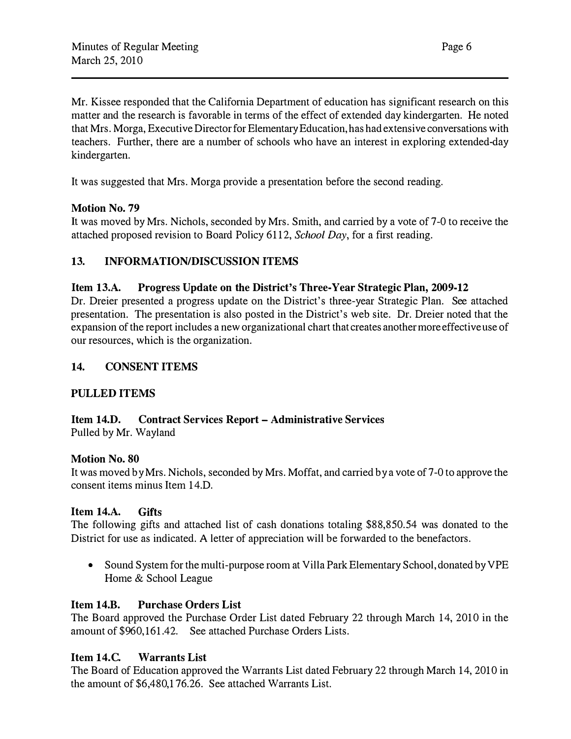Mr. Kissee responded that the California Department of education has significant research on this matter and the research is favorable in terms of the effect of extended day kindergarten. He noted that Mrs. Morga, Executive Director for Elementary Education, has had extensive conversations with teachers. Further, there are a number of schools who have an interest in exploring extended-day kindergarten.

It was suggested that Mrs. Morga provide a presentation before the second reading.

## Motion No. 79

It was moved by Mrs. Nichols, seconded by Mrs. Smith, and carried by a vote of7-0 to receive the attached proposed revision to Board Policy 6112, School Day, for a first reading.

## 13. INFORMATION/DISCUSSION ITEMS

## Item 13.A. Progress Update on the District's Three-Year Strategic Plan, 2009-12

Dr. Dreier presented a progress update on the District's three-year Strategic Plan. See attached presentation. The presentation is also posted in the District's web site. Dr. Dreier noted that the expansion of the report includes a new organizational chart that creates another more effective use of our resources, which is the organization.

## 14. CONSENT ITEMS

## PULLED ITEMS

## Item 14.D. Contract Services Report - Administrative Services

Pulled by Mr. Wayland

#### Motion No. 80

It was moved by Mrs. Nichols, seconded by Mrs. Moffat, and carried by a vote of7-0 to approve the consent items minus Item 14.D.

## Item 14.A. Gifts

The following gifts and attached list of cash donations totaling \$88,850.54 was donated to the District for use as indicated. A letter of appreciation will be forwarded to the benefactors.

• Sound System for the multi-purpose room at Villa Park Elementary School, donated by VPE Home & School League

## Item 14.B. Purchase Orders List

The Board approved the Purchase Order List dated February 22 through March 14, 2010 in the amount of \$960,161.42. See attached Purchase Orders Lists.

## Item 14.C. Warrants List

The Board of Education approved the Warrants List dated February 22 through March 14, 2010 in the amount of \$6,480,176.26. See attached Warrants List.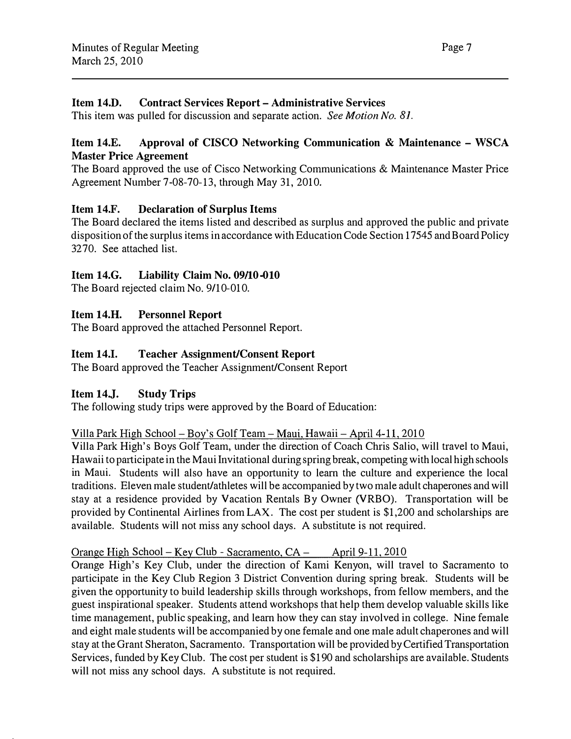#### Item 14.D. Contract Services Report-Administrative Services

This item was pulled for discussion and separate action. See Motion No. 81.

### Item 14.E. Approval of CISCO Networking Communication & Maintenance - WSCA Master Price Agreement

The Board approved the use of Cisco Networking Communications & Maintenance Master Price Agreement Number 7-08-70-13, through May 31, 2010.

#### Item 14.F. Declaration of Surplus Items

The Board declared the items listed and described as surplus and approved the public and private disposition of the surplus items in accordance with Education Code Section 17545 and Board Policy 3270. See attached list.

#### Item 14.G. Liability Claim No. 09/10-010

The Board rejected claim No. 9/10-010.

#### Item 14.H. Personnel Report

The Board approved the attached Personnel Report.

#### Item 14.1. Teacher Assignment/Consent Report

The Board approved the Teacher Assignment/Consent Report

#### Item 14.J. Study Trips

The following study trips were approved by the Board of Education:

#### Villa Park High School- Boy's Golf Team- Maui. Hawaii- April 4-11, 2010

Villa Park High's Boys Golf Team, under the direction of Coach Chris Salio, will travel to Maui, Hawaii to participate in the Maui Invitational during spring break, competing with local high schools in Maui. Students will also have an opportunity to learn the culture and experience the local traditions. Eleven male student/athletes will be accompanied by two male adult chaperones and will stay at a residence provided by Vacation Rentals By Owner (VRBO). Transportation will be provided by Continental Airlines from LAX. The cost per student is \$1,200 and scholarships are available. Students will not miss any school days. A substitute is not required.

#### Orange High School - Key Club - Sacramento. CA - April 9-1l, 2010

Orange High's Key Club, under the direction of Kami Kenyon, will travel to Sacramento to pmticipate in the Key Club Region 3 District Convention during spring break. Students will be given the opportunity to build leadership skills through workshops, from fellow members, and the guest inspirational speaker. Students attend workshops that help them develop valuable skills like time management, public speaking, and learn how they can stay involved in college. Nine female and eight male students will be accompanied by one female and one male adult chaperones and will stay at the Grant Sheraton, Sacramento. Transportation will be provided by Certified Transportation Services, funded by Key Club. The cost per student is \$190 and scholarships are available. Students will not miss any school days. A substitute is not required.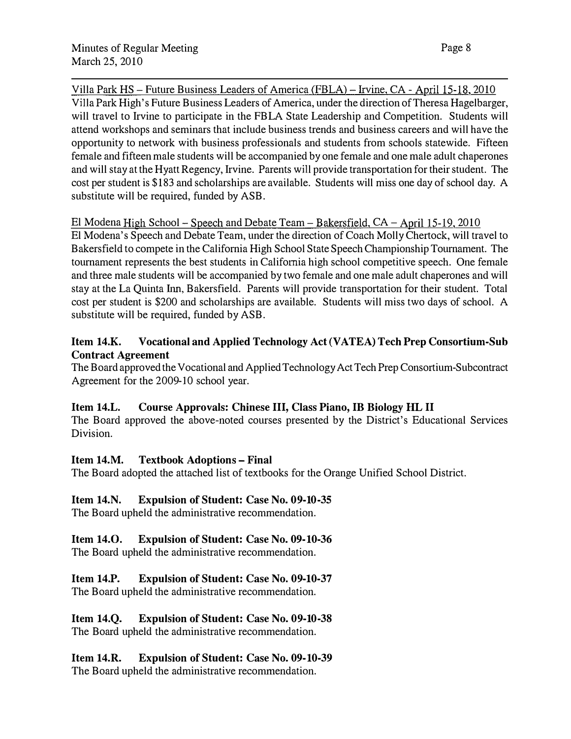Villa Park HS- Future Business Leaders of America (FBLA)- Irvine, CA - April 15-18, 2010 Villa Park High's Future Business Leaders of America, under the direction of Theresa Hagelbarger, will travel to Irvine to participate in the FBLA State Leadership and Competition. Students will attend workshops and seminars that include business trends and business careers and will have the opportunity to network with business professionals and students from schools statewide. Fifteen female and fifteen male students will be accompanied by one female and one male adult chaperones and will stay at the Hyatt Regency, Irvine. Parents will provide transportation for their student. The cost per student is \$183 and scholarships are available. Students will miss one day of school day. A substitute will be required, funded by ASB.

#### El Modena High School- Speech and Debate Team- Bakersfield, CA- April 15-19, 2010

El Modena's Speech and Debate Team, under the direction of Coach Molly Chertock, will travel to Bakersfield to compete in the California High School State Speech Championship Tournament. The tournament represents the best students in Califomia high school competitive speech. One female and three male students will be accompanied by two female and one male adult chaperones and will stay at the La Quinta Inn, Bakersfield. Parents will provide transportation for their student. Total cost per student is \$200 and scholarships are available. Students will miss two days of school. A substitute will be required, funded by ASB.

#### Item 14.K. Vocational and Applied Technology Act (V ATEA) Tech Prep Consortium-Sub Contract Agreement

The Board approved the Vocational and Applied Technology Act Tech Prep Consortium-Subcontract Agreement for the 2009-10 school year.

#### Item 14.L. Course Approvals: Chinese III, Class Piano, IB Biology HL II

The Board approved the above-noted courses presented by the District's Educational Services Division.

#### Item 14.M. Textbook Adoptions - Final

The Board adopted the attached list of textbooks for the Orange Unified School District.

#### Item 14.N. Expulsion of Student: Case No. 09-10-35

The Board upheld the administrative recommendation.

#### Item 14.0. Expulsion of Student: Case No. 09-10-36

The Board upheld the administrative recommendation.

#### Item 14.P. Expulsion of Student: Case No. 09-10-37

The Board upheld the administrative recommendation.

## Item 14.Q. Expulsion of Student: Case No. 09-10-38

The Board upheld the administrative recommendation.

# Item 14.R. Expulsion of Student: Case No. 09-10-39

The Board upheld the administrative recommendation.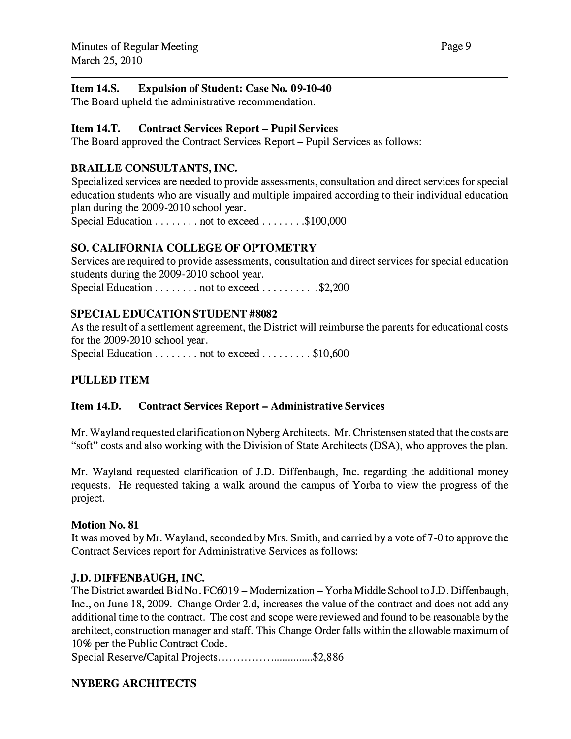#### Item 14.S. Expulsion of Student: Case No. 09-10-40

The Board upheld the administrative recommendation.

### Item 14.T. Contract Services Report-Pupil Services

The Board approved the Contract Services Report- Pupil Services as follows:

## BRAILLE CONSULTANTS, INC.

Specialized services are needed to provide assessments, consultation and direct services for special education students who are visually and multiple impaired according to their individual education plan during the 2009-2010 school year.

Special Education . . . . . . . . not to exceed . . . . . . . \$100,000

## SO. CALIFORNIA COLLEGE OF OPTOMETRY

Services are required to provide assessments, consultation and direct services for special education students during the 2009-2010 school year. Special Education . . . . . . . . not to exceed . . . . . . . . . \$2,200

## SPECIAL EDUCATION STUDENT #8082

As the result of a settlement agreement, the District will reimburse the parents for educational costs for the 2009-2010 school year. Special Education . . . . . . . . not to exceed . . . . . . . . \$10,600

## PULLED ITEM

## Item 14.D. Contract Services Report - Administrative Services

Mr. Wayland requested clarification on Nyberg Architects. Mr. Christensen stated that the costs are "soft" costs and also working with the Division of State Architects (DSA), who approves the plan.

Mr. Wayland requested clarification of J.D. Diffenbaugh, Inc. regarding the additional money requests. He requested taking a walk around the campus of Yorba to view the progress of the project.

#### Motion No. 81

It was moved by Mr. Wayland, seconded by Mrs. Smith, and carried by a vote of7-0 to approve the Contract Services report for Administrative Services as follows:

## J.D. DIFFENBAUGH, INC.

The District awarded Bid No. FC6019 - Modernization - Yorba Middle School to J.D. Diffenbaugh, Inc., on June 18, 2009. Change Order 2.d, increases the value of the contract and does not add any additional time to the contract. The cost and scope were reviewed and found to be reasonable by the architect, construction manager and staff. This Change Order falls within the allowable maximum of 10% per the Public Contract Code.

Special Reserve/Capital Projects ............................. \$2,886

## NYBERG ARCHITECTS